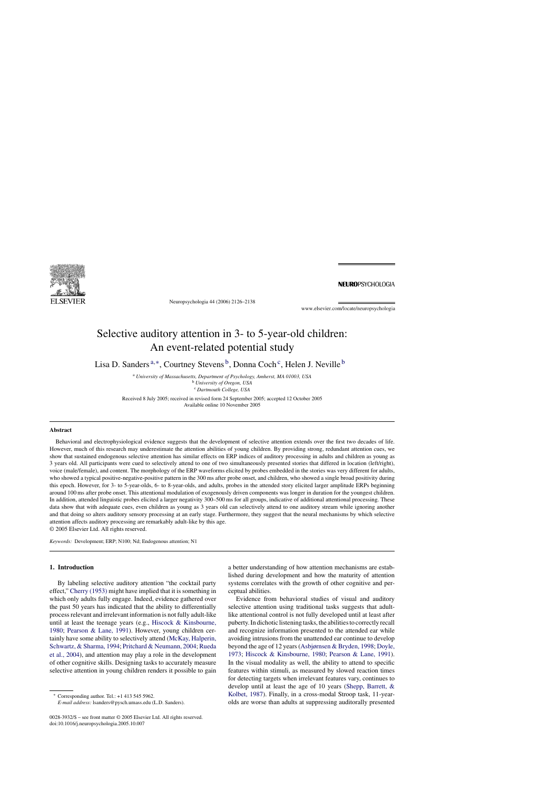

Neuropsychologia 44 (2006) 2126–2138

**NEUROPSYCHOLOGIA** 

www.elsevier.com/locate/neuropsychologia

# Selective auditory attention in 3- to 5-year-old children: An event-related potential study

Lisa D. Sanders<sup>a,∗</sup>, Courtney Stevens<sup>b</sup>, Donna Coch<sup>c</sup>, Helen J. Neville<sup>b</sup>

<sup>a</sup> *University of Massachusetts, Department of Psychology, Amherst, MA 01003, USA* <sup>b</sup> *University of Oregon, USA* <sup>c</sup> *Dartmouth College, USA*

Received 8 July 2005; received in revised form 24 September 2005; accepted 12 October 2005 Available online 10 November 2005

## **Abstract**

Behavioral and electrophysiological evidence suggests that the development of selective attention extends over the first two decades of life. However, much of this research may underestimate the attention abilities of young children. By providing strong, redundant attention cues, we show that sustained endogenous selective attention has similar effects on ERP indices of auditory processing in adults and children as young as 3 years old. All participants were cued to selectively attend to one of two simultaneously presented stories that differed in location (left/right), voice (male/female), and content. The morphology of the ERP waveforms elicited by probes embedded in the stories was very different for adults, who showed a typical positive-negative-positive pattern in the 300 ms after probe onset, and children, who showed a single broad positivity during this epoch. However, for 3- to 5-year-olds, 6- to 8-year-olds, and adults, probes in the attended story elicited larger amplitude ERPs beginning around 100 ms after probe onset. This attentional modulation of exogenously driven components was longer in duration for the youngest children. In addition, attended linguistic probes elicited a larger negativity 300–500 ms for all groups, indicative of additional attentional processing. These data show that with adequate cues, even children as young as 3 years old can selectively attend to one auditory stream while ignoring another and that doing so alters auditory sensory processing at an early stage. Furthermore, they suggest that the neural mechanisms by which selective attention affects auditory processing are remarkably adult-like by this age.

© 2005 Elsevier Ltd. All rights reserved.

*Keywords:* Development; ERP; N100; Nd; Endogenous attention; N1

# **1. Introduction**

By labeling selective auditory attention "the cocktail party effect," [Cherry \(1953\)](#page-12-0) might have implied that it is something in which only adults fully engage. Indeed, evidence gathered over the past 50 years has indicated that the ability to differentially process relevant and irrelevant information is not fully adult-like until at least the teenage years (e.g., [Hiscock & Kinsbourne,](#page-12-0) [1980;](#page-12-0) [Pearson & Lane, 1991\).](#page-12-0) However, young children certainly have some ability to selectively attend ([McKay, Halperin,](#page-12-0) [Schwartz, & Sharma, 1994;](#page-12-0) [Pritchard & Neumann, 2004;](#page-12-0) [Rueda](#page-12-0) [et al., 2004\),](#page-12-0) and attention may play a role in the development of other cognitive skills. Designing tasks to accurately measure selective attention in young children renders it possible to gain

∗ Corresponding author. Tel.: +1 413 545 5962.

*E-mail address:* lsanders@pysch.umass.edu (L.D. Sanders).

0028-3932/\$ – see front matter © 2005 Elsevier Ltd. All rights reserved. doi:10.1016/j.neuropsychologia.2005.10.007

a better understanding of how attention mechanisms are established during development and how the maturity of attention systems correlates with the growth of other cognitive and perceptual abilities.

Evidence from behavioral studies of visual and auditory selective attention using traditional tasks suggests that adultlike attentional control is not fully developed until at least after puberty. In dichotic listening tasks, the abilities to correctly recall and recognize information presented to the attended ear while avoiding intrusions from the unattended ear continue to develop beyond the age of 12 years ([Asbjørnsen & Bryden, 1998;](#page-11-0) [Doyle,](#page-12-0) [1973;](#page-12-0) [Hiscock & Kinsbourne, 1980;](#page-12-0) [Pearson & Lane, 1991\).](#page-12-0) In the visual modality as well, the ability to attend to specific features within stimuli, as measured by slowed reaction times for detecting targets when irrelevant features vary, continues to develop until at least the age of 10 years ([Shepp, Barrett, &](#page-12-0) [Kolbet, 1987\).](#page-12-0) Finally, in a cross-modal Stroop task, 11-yearolds are worse than adults at suppressing auditorally presented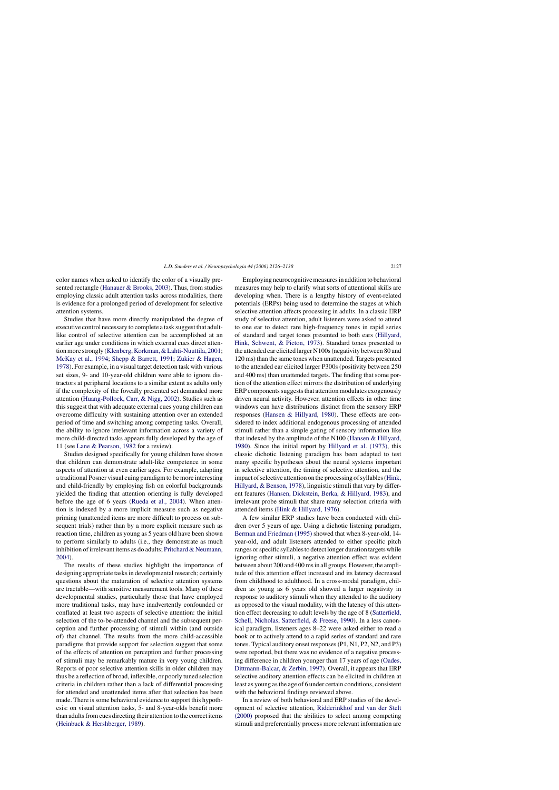color names when asked to identify the color of a visually presented rectangle [\(Hanauer & Brooks, 2003\).](#page-12-0) Thus, from studies employing classic adult attention tasks across modalities, there is evidence for a prolonged period of development for selective attention systems.

Studies that have more directly manipulated the degree of executive control necessary to complete a task suggest that adultlike control of selective attention can be accomplished at an earlier age under conditions in which external cues direct attention more strongly ([Klenberg, Korkman, & Lahti-Nuuttila, 2001;](#page-12-0) [McKay et al., 1994;](#page-12-0) [Shepp & Barrett, 1991;](#page-12-0) [Zukier & Hagen,](#page-12-0) [1978\).](#page-12-0) For example, in a visual target detection task with various set sizes, 9- and 10-year-old children were able to ignore distractors at peripheral locations to a similar extent as adults only if the complexity of the foveally presented set demanded more attention [\(Huang-Pollock, Carr, & Nigg, 2002\).](#page-12-0) Studies such as this suggest that with adequate external cues young children can overcome difficulty with sustaining attention over an extended period of time and switching among competing tasks. Overall, the ability to ignore irrelevant information across a variety of more child-directed tasks appears fully developed by the age of 11 (see [Lane & Pearson, 1982](#page-12-0) for a review).

Studies designed specifically for young children have shown that children can demonstrate adult-like competence in some aspects of attention at even earlier ages. For example, adapting a traditional Posner visual cuing paradigm to be more interesting and child-friendly by employing fish on colorful backgrounds yielded the finding that attention orienting is fully developed before the age of 6 years [\(Rueda et al., 2004\).](#page-12-0) When attention is indexed by a more implicit measure such as negative priming (unattended items are more difficult to process on subsequent trials) rather than by a more explicit measure such as reaction time, children as young as 5 years old have been shown to perform similarly to adults (i.e., they demonstrate as much inhibition of irrelevant items as do adults; [Pritchard & Neumann,](#page-12-0) [2004\).](#page-12-0)

The results of these studies highlight the importance of designing appropriate tasks in developmental research; certainly questions about the maturation of selective attention systems are tractable—with sensitive measurement tools. Many of these developmental studies, particularly those that have employed more traditional tasks, may have inadvertently confounded or conflated at least two aspects of selective attention: the initial selection of the to-be-attended channel and the subsequent perception and further processing of stimuli within (and outside of) that channel. The results from the more child-accessible paradigms that provide support for selection suggest that some of the effects of attention on perception and further processing of stimuli may be remarkably mature in very young children. Reports of poor selective attention skills in older children may thus be a reflection of broad, inflexible, or poorly tuned selection criteria in children rather than a lack of differential processing for attended and unattended items after that selection has been made. There is some behavioral evidence to support this hypothesis: on visual attention tasks, 5- and 8-year-olds benefit more than adults from cues directing their attention to the correct items ([Heinbuck & Hershberger, 1989\).](#page-12-0)

Employing neurocognitive measures in addition to behavioral measures may help to clarify what sorts of attentional skills are developing when. There is a lengthy history of event-related potentials (ERPs) being used to determine the stages at which selective attention affects processing in adults. In a classic ERP study of selective attention, adult listeners were asked to attend to one ear to detect rare high-frequency tones in rapid series of standard and target tones presented to both ears ([Hillyard,](#page-12-0) [Hink, Schwent, & Picton, 1973\).](#page-12-0) Standard tones presented to the attended ear elicited larger N100s (negativity between 80 and 120 ms) than the same tones when unattended. Targets presented to the attended ear elicited larger P300s (positivity between 250 and 400 ms) than unattended targets. The finding that some portion of the attention effect mirrors the distribution of underlying ERP components suggests that attention modulates exogenously driven neural activity. However, attention effects in other time windows can have distributions distinct from the sensory ERP responses [\(Hansen & Hillyard, 1980\).](#page-12-0) These effects are considered to index additional endogenous processing of attended stimuli rather than a simple gating of sensory information like that indexed by the amplitude of the N100 ([Hansen & Hillyard,](#page-12-0) [1980\).](#page-12-0) Since the initial report by [Hillyard et al. \(1973\),](#page-12-0) this classic dichotic listening paradigm has been adapted to test many specific hypotheses about the neural systems important in selective attention, the timing of selective attention, and the impact of selective attention on the processing of syllables [\(Hink,](#page-12-0) [Hillyard, & Benson, 1978\),](#page-12-0) linguistic stimuli that vary by different features ([Hansen, Dickstein, Berka, & Hillyard, 1983\),](#page-12-0) and irrelevant probe stimuli that share many selection criteria with attended items [\(Hink & Hillyard, 1976\).](#page-12-0)

A few similar ERP studies have been conducted with children over 5 years of age. Using a dichotic listening paradigm, [Berman and Friedman \(1995\)](#page-11-0) showed that when 8-year-old, 14 year-old, and adult listeners attended to either specific pitch ranges or specific syllables to detect longer duration targets while ignoring other stimuli, a negative attention effect was evident between about 200 and 400 ms in all groups. However, the amplitude of this attention effect increased and its latency decreased from childhood to adulthood. In a cross-modal paradigm, children as young as 6 years old showed a larger negativity in response to auditory stimuli when they attended to the auditory as opposed to the visual modality, with the latency of this attention effect decreasing to adult levels by the age of 8 [\(Satterfield,](#page-12-0) [Schell, Nicholas, Satterfield, & Freese, 1990\).](#page-12-0) In a less canonical paradigm, listeners ages 8–22 were asked either to read a book or to actively attend to a rapid series of standard and rare tones. Typical auditory onset responses (P1, N1, P2, N2, and P3) were reported, but there was no evidence of a negative processing difference in children younger than 17 years of age [\(Oades,](#page-12-0) [Dittmann-Balcar, & Zerbin, 1997\).](#page-12-0) Overall, it appears that ERP selective auditory attention effects can be elicited in children at least as young as the age of 6 under certain conditions, consistent with the behavioral findings reviewed above.

In a review of both behavioral and ERP studies of the development of selective attention, [Ridderinkhof and van der Stelt](#page-12-0) [\(2000\)](#page-12-0) proposed that the abilities to select among competing stimuli and preferentially process more relevant information are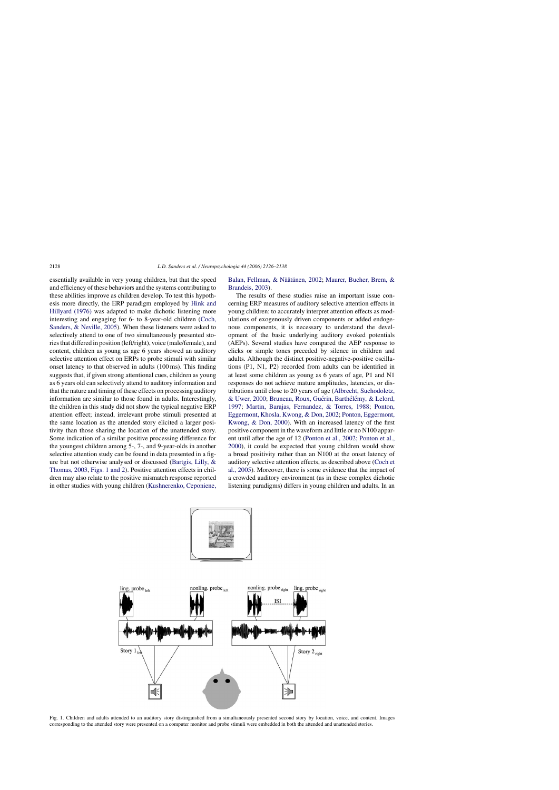<span id="page-2-0"></span>essentially available in very young children, but that the speed and efficiency of these behaviors and the systems contributing to these abilities improve as children develop. To test this hypothesis more directly, the ERP paradigm employed by [Hink and](#page-12-0) [Hillyard \(1976\)](#page-12-0) was adapted to make dichotic listening more interesting and engaging for 6- to 8-year-old children [\(Coch,](#page-12-0) [Sanders, & Neville, 2005\).](#page-12-0) When these listeners were asked to selectively attend to one of two simultaneously presented stories that differed in position (left/right), voice (male/female), and content, children as young as age 6 years showed an auditory selective attention effect on ERPs to probe stimuli with similar onset latency to that observed in adults (100 ms). This finding suggests that, if given strong attentional cues, children as young as 6 years old can selectively attend to auditory information and that the nature and timing of these effects on processing auditory information are similar to those found in adults. Interestingly, the children in this study did not show the typical negative ERP attention effect; instead, irrelevant probe stimuli presented at the same location as the attended story elicited a larger positivity than those sharing the location of the unattended story. Some indication of a similar positive processing difference for the youngest children among 5-, 7-, and 9-year-olds in another selective attention study can be found in data presented in a figure but not otherwise analysed or discussed [\(Bartgis, Lilly, &](#page-11-0) [Thomas, 2003,](#page-11-0) Figs. 1 and 2). Positive attention effects in children may also relate to the positive mismatch response reported in other studies with young children [\(Kushnerenko, Ceponiene,](#page-12-0)

# [Balan, Fellman, & N](#page-12-0)äätänen, 2002; [Maurer, Bucher, Brem, &](#page-12-0) [Brandeis, 2003\).](#page-12-0)

The results of these studies raise an important issue concerning ERP measures of auditory selective attention effects in young children: to accurately interpret attention effects as modulations of exogenously driven components or added endogenous components, it is necessary to understand the development of the basic underlying auditory evoked potentials (AEPs). Several studies have compared the AEP response to clicks or simple tones preceded by silence in children and adults. Although the distinct positive-negative-positive oscillations (P1, N1, P2) recorded from adults can be identified in at least some children as young as 6 years of age, P1 and N1 responses do not achieve mature amplitudes, latencies, or distributions until close to 20 years of age [\(Albrecht, Suchodoletz,](#page-11-0) [& Uwer, 2000;](#page-11-0) Bruneau, Roux, Guérin, Barthélémy, & Lelord, [1997;](#page-11-0) [Martin, Barajas, Fernandez, & Torres, 1988;](#page-12-0) [Ponton,](#page-12-0) [Eggermont, Khosla, Kwong, & Don, 2002;](#page-12-0) [Ponton, Eggermont,](#page-12-0) [Kwong, & Don, 2000\).](#page-12-0) With an increased latency of the first positive component in the waveform and little or no N100 apparent until after the age of 12 ([Ponton et al., 2002; Ponton et al.,](#page-12-0) [2000\),](#page-12-0) it could be expected that young children would show a broad positivity rather than an N100 at the onset latency of auditory selective attention effects, as described above [\(Coch et](#page-12-0) [al., 2005\).](#page-12-0) Moreover, there is some evidence that the impact of a crowded auditory environment (as in these complex dichotic listening paradigms) differs in young children and adults. In an





Fig. 1. Children and adults attended to an auditory story distinguished from a simultaneously presented second story by location, voice, and content. Images corresponding to the attended story were presented on a computer monitor and probe stimuli were embedded in both the attended and unattended stories.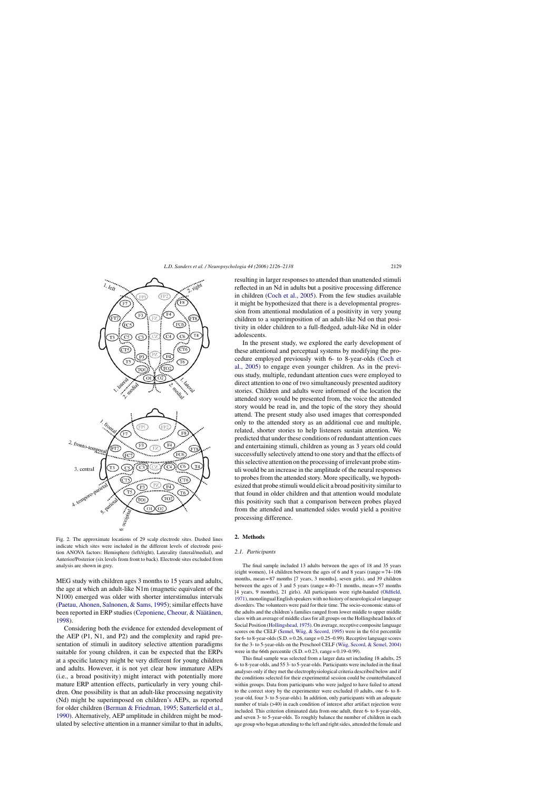<span id="page-3-0"></span>

Fig. 2. The approximate locations of 29 scalp electrode sites. Dashed lines indicate which sites were included in the different levels of electrode position ANOVA factors: Hemisphere (left/right), Laterality (lateral/medial), and Anterior/Posterior (six levels from front to back). Electrode sites excluded from analysis are shown in grey.

MEG study with children ages 3 months to 15 years and adults, the age at which an adult-like N1m (magnetic equivalent of the N100) emerged was older with shorter interstimulus intervals ([Paetau, Ahonen, Salnonen, & Sams, 1995\);](#page-12-0) similar effects have been reported in ERP studies ([Ceponiene, Cheour, & N](#page-12-0)äätänen, [1998\).](#page-12-0)

Considering both the evidence for extended development of the AEP (P1, N1, and P2) and the complexity and rapid presentation of stimuli in auditory selective attention paradigms suitable for young children, it can be expected that the ERPs at a specific latency might be very different for young children and adults. However, it is not yet clear how immature AEPs (i.e., a broad positivity) might interact with potentially more mature ERP attention effects, particularly in very young children. One possibility is that an adult-like processing negativity (Nd) might be superimposed on children's AEPs, as reported for older children [\(Berman & Friedman, 1995;](#page-11-0) [Satterfield et al.,](#page-12-0) [1990\).](#page-12-0) Alternatively, AEP amplitude in children might be modulated by selective attention in a manner similar to that in adults,

resulting in larger responses to attended than unattended stimuli reflected in an Nd in adults but a positive processing difference in children [\(Coch et al., 2005\).](#page-12-0) From the few studies available it might be hypothesized that there is a developmental progression from attentional modulation of a positivity in very young children to a superimposition of an adult-like Nd on that positivity in older children to a full-fledged, adult-like Nd in older adolescents.

In the present study, we explored the early development of these attentional and perceptual systems by modifying the procedure employed previously with 6- to 8-year-olds [\(Coch et](#page-12-0) [al., 2005\)](#page-12-0) to engage even younger children. As in the previous study, multiple, redundant attention cues were employed to direct attention to one of two simultaneously presented auditory stories. Children and adults were informed of the location the attended story would be presented from, the voice the attended story would be read in, and the topic of the story they should attend. The present study also used images that corresponded only to the attended story as an additional cue and multiple, related, shorter stories to help listeners sustain attention. We predicted that under these conditions of redundant attention cues and entertaining stimuli, children as young as 3 years old could successfully selectively attend to one story and that the effects of this selective attention on the processing of irrelevant probe stimuli would be an increase in the amplitude of the neural responses to probes from the attended story. More specifically, we hypothesized that probe stimuli would elicit a broad positivity similar to that found in older children and that attention would modulate this positivity such that a comparison between probes played from the attended and unattended sides would yield a positive processing difference.

# **2. Methods**

#### *2.1. Participants*

The final sample included 13 adults between the ages of 18 and 35 years (eight women), 14 children between the ages of 6 and 8 years (range = 74–106 months, mean = 87 months [7 years, 3 months], seven girls), and 39 children between the ages of 3 and 5 years (range  $= 40-71$  months, mean  $= 57$  months [4 years, 9 months], 21 girls). All participants were right-handed ([Oldfield,](#page-12-0) [1971\),](#page-12-0) monolingual English speakers with no history of neurological or language disorders. The volunteers were paid for their time. The socio-economic status of the adults and the children's families ranged from lower middle to upper middle class with an average of middle class for all groups on the Hollingshead Index of Social Position ([Hollingshead, 1975\).](#page-12-0) On average, receptive composite language scores on the CELF ([Semel, Wiig, & Secord, 1995\) w](#page-12-0)ere in the 61st percentile for 6- to 8-year-olds  $(S.D. = 0.26$ , range  $= 0.25-0.99$ ). Receptive language scores for the 3- to 5-year-olds on the Preschool CELF [\(Wiig, Secord, & Semel, 2004\)](#page-12-0) were in the 66th percentile  $(S.D. = 0.23$ , range = 0.19–0.99).

This final sample was selected from a larger data set including 18 adults, 25 6- to 8-year-olds, and 55 3- to 5-year-olds. Participants were included in the final analyses only if they met the electrophysiological criteria described below and if the conditions selected for their experimental session could be counterbalanced within groups. Data from participants who were judged to have failed to attend to the correct story by the experimenter were excluded (0 adults, one 6- to 8 year-old, four 3- to 5-year-olds). In addition, only participants with an adequate number of trials (>40) in each condition of interest after artifact rejection were included. This criterion eliminated data from one adult, three 6- to 8-year-olds, and seven 3- to 5-year-olds. To roughly balance the number of children in each age group who began attending to the left and right sides, attended the female and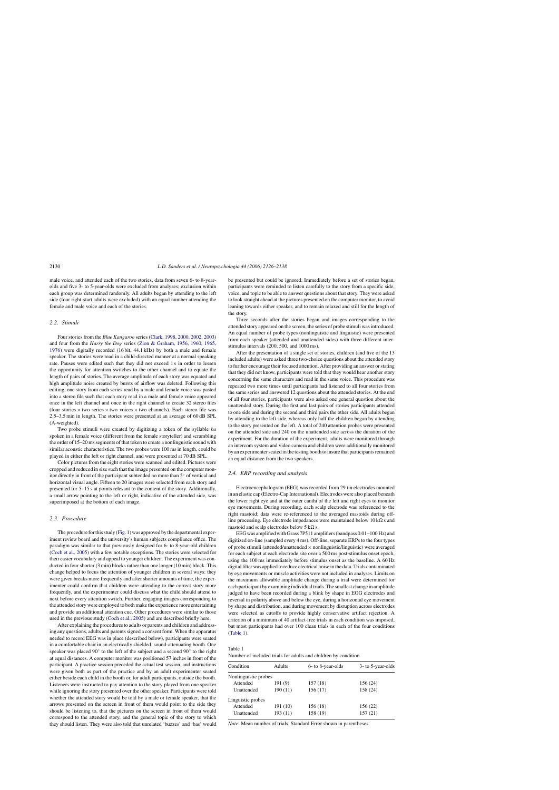male voice, and attended each of the two stories, data from seven 6- to 8-yearolds and five 3- to 5-year-olds were excluded from analyses; exclusion within each group was determined randomly. All adults began by attending to the left side (four right-start adults were excluded) with an equal number attending the female and male voice and each of the stories.

# *2.2. Stimuli*

Four stories from the *Blue Kangaroo* series [\(Clark, 1998, 2000, 2002, 2003\)](#page-12-0) and four from the *Harry the Dog* series ([Zion & Graham, 1956, 1960, 1965,](#page-12-0) [1976\)](#page-12-0) were digitally recorded (16 bit, 44.1 kHz) by both a male and female speaker. The stories were read in a child-directed manner at a normal speaking rate. Pauses were edited such that they did not exceed 1 s in order to lessen the opportunity for attention switches to the other channel and to equate the length of pairs of stories. The average amplitude of each story was equated and high amplitude noise created by bursts of airflow was deleted. Following this editing, one story from each series read by a male and female voice was pasted into a stereo file such that each story read in a male and female voice appeared once in the left channel and once in the right channel to create 32 stereo files (four stories  $\times$  two series  $\times$  two voices  $\times$  two channels). Each stereo file was 2.5–3.5 min in length. The stories were presented at an average of 60 dB SPL (A-weighted).

Two probe stimuli were created by digitizing a token of the syllable *ba* spoken in a female voice (different from the female storyteller) and scrambling the order of 15–20 ms segments of that token to create a nonlinguistic sound with similar acoustic characteristics. The two probes were 100 ms in length, could be played in either the left or right channel, and were presented at 70 dB SPL.

Color pictures from the eight stories were scanned and edited. Pictures were cropped and reduced in size such that the image presented on the computer monitor directly in front of the participant subtended no more than 5◦ of vertical and horizontal visual angle. Fifteen to 20 images were selected from each story and presented for 5–15 s at points relevant to the content of the story. Additionally, a small arrow pointing to the left or right, indicative of the attended side, was superimposed at the bottom of each image.

# *2.3. Procedure*

The procedure for this study [\(Fig. 1\) w](#page-2-0)as approved by the departmental experiment review board and the university's human subjects compliance office. The paradigm was similar to that previously designed for 6- to 8-year-old children [\(Coch et al., 2005\)](#page-12-0) with a few notable exceptions. The stories were selected for their easier vocabulary and appeal to younger children. The experiment was conducted in four shorter (3 min) blocks rather than one longer (10 min) block. This change helped to focus the attention of younger children in several ways: they were given breaks more frequently and after shorter amounts of time, the experimenter could confirm that children were attending to the correct story more frequently, and the experimenter could discuss what the child should attend to next before every attention switch. Further, engaging images corresponding to the attended story were employed to both make the experience more entertaining and provide an additional attention cue. Other procedures were similar to those used in the previous study ([Coch et al., 2005\) a](#page-12-0)nd are described briefly here.

After explaining the procedures to adults or parents and children and addressing any questions, adults and parents signed a consent form. When the apparatus needed to record EEG was in place (described below), participants were seated in a comfortable chair in an electrically shielded, sound-attenuating booth. One speaker was placed 90◦ to the left of the subject and a second 90◦ to the right at equal distances. A computer monitor was positioned 57 inches in front of the participant. A practice session preceded the actual test session, and instructions were given both as part of the practice and by an adult experimenter seated either beside each child in the booth or, for adult participants, outside the booth. Listeners were instructed to pay attention to the story played from one speaker while ignoring the story presented over the other speaker. Participants were told whether the attended story would be told by a male or female speaker, that the arrows presented on the screen in front of them would point to the side they should be listening to, that the pictures on the screen in front of them would correspond to the attended story, and the general topic of the story to which they should listen. They were also told that unrelated 'buzzes' and 'bas' would be presented but could be ignored. Immediately before a set of stories began, participants were reminded to listen carefully to the story from a specific side, voice, and topic to be able to answer questions about that story. They were asked to look straight ahead at the pictures presented on the computer monitor, to avoid leaning towards either speaker, and to remain relaxed and still for the length of the story.

Three seconds after the stories began and images corresponding to the attended story appeared on the screen, the series of probe stimuli was introduced. An equal number of probe types (nonlinguistic and linguistic) were presented from each speaker (attended and unattended sides) with three different interstimulus intervals (200, 500, and 1000 ms).

After the presentation of a single set of stories, children (and five of the 13 included adults) were asked three two-choice questions about the attended story to further encourage their focused attention. After providing an answer or stating that they did not know, participants were told that they would hear another story concerning the same characters and read in the same voice. This procedure was repeated two more times until participants had listened to all four stories from the same series and answered 12 questions about the attended stories. At the end of all four stories, participants were also asked one general question about the unattended story. During the first and last pairs of stories participants attended to one side and during the second and third pairs the other side. All adults began by attending to the left side, whereas only half the children began by attending to the story presented on the left. A total of 240 attention probes were presented on the attended side and 240 on the unattended side across the duration of the experiment. For the duration of the experiment, adults were monitored through an intercom system and video camera and children were additionally monitored by an experimenter seated in the testing booth to insure that participants remained an equal distance from the two speakers.

## *2.4. ERP recording and analysis*

Electroencephalogram (EEG) was recorded from 29 tin electrodes mounted in an elastic cap (Electro-Cap International). Electrodes were also placed beneath the lower right eye and at the outer canthi of the left and right eyes to monitor eye movements. During recording, each scalp electrode was referenced to the right mastoid; data were re-referenced to the averaged mastoids during offline processing. Eye electrode impedances were maintained below  $10 \text{ k}\Omega$  s and mastoid and scalp electrodes below 5 k $\Omega$  s.

EEG was amplified with Grass 7P511 amplifiers (bandpass 0.01–100 Hz) and digitized on-line (sampled every 4 ms). Off-line, separate ERPs to the four types of probe stimuli (attended/unattended  $\times$  nonlinguistic/linguistic) were averaged for each subject at each electrode site over a 500 ms post-stimulus onset epoch, using the 100 ms immediately before stimulus onset as the baseline. A 60 Hz digital filter was applied to reduce electrical noise in the data. Trials contaminated by eye movements or muscle activities were not included in analyses. Limits on the maximum allowable amplitude change during a trial were determined for each participant by examining individual trials. The smallest change in amplitude judged to have been recorded during a blink by shape in EOG electrodes and reversal in polarity above and below the eye, during a horizontal eye movement by shape and distribution, and during movement by disruption across electrodes were selected as cutoffs to provide highly conservative artifact rejection. A criterion of a minimum of 40 artifact-free trials in each condition was imposed, but most participants had over 100 clean trials in each of the four conditions (Table 1).

## Table 1

Number of included trials for adults and children by condition

| Condition            | <b>Adults</b> | 6- to 8-year-olds | 3- to 5-year-olds |
|----------------------|---------------|-------------------|-------------------|
| Nonlinguistic probes |               |                   |                   |
| Attended             | 191(9)        | 157(18)           | 156 (24)          |
| Unattended           | 190(11)       | 156 (17)          | 158 (24)          |
| Linguistic probes    |               |                   |                   |
| Attended             | 191 (10)      | 156 (18)          | 156(22)           |
| Unattended           | 193 (11)      | 158 (19)          | 157(21)           |

*Note*: Mean number of trials. Standard Error shown in parentheses.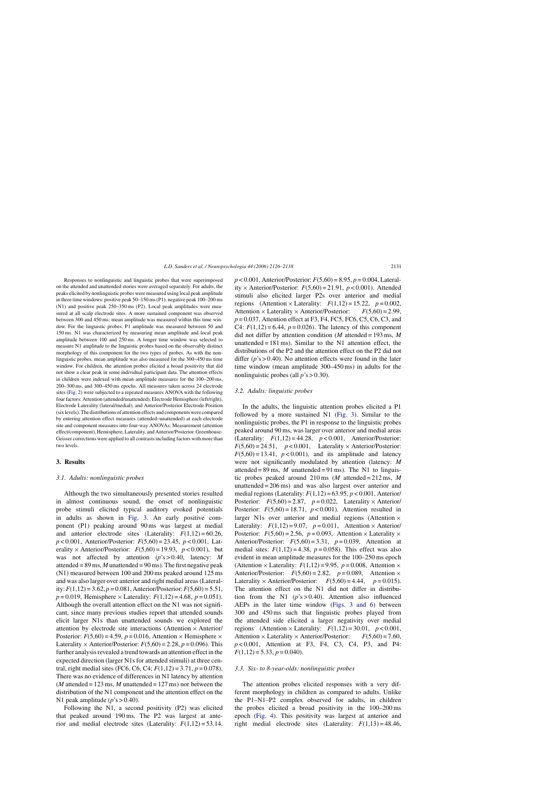Responses to nonlinguistic and linguistic probes that were superimposed on the attended and unattended stories were averaged separately. For adults, the peaks elicited by nonlinguistic probes were measured using local peak amplitude in three time windows: positive peak 50–150 ms (P1), negative peak 100–200 ms (N1) and positive peak 250–350 ms (P2). Local peak amplitudes were measured at all scalp electrode sites. A more sustained component was observed between 300 and 450 ms; mean amplitude was measured within this time window. For the linguistic probes, P1 amplitude was measured between 50 and 150 ms. N1 was characterized by measuring mean amplitude and local peak amplitude between 100 and 250 ms. A longer time window was selected to measure N1 amplitude to the linguistic probes based on the observably distinct morphology of this component for the two types of probes. As with the nonlinguistic probes, mean amplitude was also measured for the 300–450 ms time window. For children, the attention probes elicited a broad positivity that did not show a clear peak in some individual participant data. The attention effects in children were indexed with mean amplitude measures for the 100–200 ms, 200–300 ms, and 300–450 ms epochs. All measures taken across 24 electrode sites [\(Fig. 2\) w](#page-3-0)ere subjected to a repeated measures ANOVA with the following four factors: Attention (attended/unattended), Electrode Hemisphere (left/right), Electrode Laterality (lateral/medial), and Anterior/Posterior Electrode Position (six levels). The distributions of attention effects and components were compared by entering attention effect measures (attended–unattended) at each electrode site and component measures into four-way ANOVAs: Measurement (attention effect/component), Hemisphere, Laterality, and Anterior/Posterior. Greenhouse-Geisser corrections were applied to all contrasts including factors with more than two levels.

# **3. Results**

## *3.1. Adults: nonlinguistic probes*

Although the two simultaneously presented stories resulted in almost continuous sound, the onset of nonlinguistic probe stimuli elicited typical auditory evoked potentials in adults as shown in [Fig. 3.](#page-6-0) An early positive component (P1) peaking around 90 ms was largest at medial and anterior electrode sites (Laterality:  $F(1,12) = 60.26$ , *p* < 0.001, Anterior/Posterior: *F*(5,60) = 23.45, *p* < 0.001, Laterality × Anterior/Posterior:  $F(5,60) = 19.93$ ,  $p < 0.001$ ), but was not affected by attention (*p*'s > 0.40, latency: *M* attended =  $89 \text{ ms}$ , *M* unattended =  $90 \text{ ms}$ ). The first negative peak (N1) measured between 100 and 200 ms peaked around 125 ms and was also larger over anterior and right medial areas (Laterality:  $F(1,12) = 3.62, p = 0.081$ , Anterior/Posterior:  $F(5,60) = 5.51$ ,  $p = 0.019$ , Hemisphere × Laterality:  $F(1,12) = 4.68$ ,  $p = 0.051$ ). Although the overall attention effect on the N1 was not significant, since many previous studies report that attended sounds elicit larger N1s than unattended sounds we explored the attention by electrode site interactions (Attention × Anterior/ Posterior:  $F(5,60) = 4.59$ ,  $p = 0.016$ , Attention × Hemisphere × Laterality  $\times$  Anterior/Posterior:  $F(5,60) = 2.28$ ,  $p = 0.096$ ). This further analysis revealed a trend towards an attention effect in the expected direction (larger N1s for attended stimuli) at three central, right medial sites (FC6, C6, C4;  $F(1,12) = 3.71$ ,  $p = 0.078$ ). There was no evidence of differences in N1 latency by attention  $(M \text{ attended} = 123 \text{ ms}, M \text{ unattached} = 127 \text{ ms})$  nor between the distribution of the N1 component and the attention effect on the N1 peak amplitude  $(p's > 0.40)$ .

Following the N1, a second positivity (P2) was elicited that peaked around 190 ms. The P2 was largest at anterior and medial electrode sites (Laterality:  $F(1,12) = 53.14$ , *p* < 0.001, Anterior/Posterior: *F*(5,60) = 8.95, *p* = 0.004, Laterality  $\times$  Anterior/Posterior:  $F(5.60) = 21.91$ ,  $p < 0.001$ ). Attended stimuli also elicited larger P2s over anterior and medial regions (Attention × Laterality:  $F(1,12) = 15.22$ ,  $p = 0.002$ ,<br>Attention × Laterality × Anterior/Posterior:  $F(5,60) = 2.99$ , Attention × Laterality × Anterior/Posterior: *p* = 0.037, Attention effect at F3, F4, FC5, FC6, C5, C6, C3, and C4:  $F(1,12) = 6.44$ ,  $p = 0.026$ ). The latency of this component did not differ by attention condition (*M* attended = 193 ms, *M* unattended  $= 181$  ms). Similar to the N1 attention effect, the distributions of the P2 and the attention effect on the P2 did not differ (*p*'s > 0.40). No attention effects were found in the later time window (mean amplitude 300–450 ms) in adults for the nonlinguistic probes (all  $p$ 's  $> 0.30$ ).

## *3.2. Adults: linguistic probes*

In the adults, the linguistic attention probes elicited a P1 followed by a more sustained N1 ([Fig. 3\)](#page-6-0). Similar to the nonlinguistic probes, the P1 in response to the linguistic probes peaked around 90 ms, was larger over anterior and medial areas (Laterality:  $F(1,12) = 44.28$ ,  $p < 0.001$ , Anterior/Posterior:  $F(5,60) = 24.51$ ,  $p < 0.001$ , Laterality × Anterior/Posterior:  $F(5,60) = 13.41$ ,  $p < 0.001$ ), and its amplitude and latency were not significantly modulated by attention (latency: *M* attended =  $89 \text{ ms}$ , *M* unattended =  $91 \text{ ms}$ ). The N1 to linguistic probes peaked around 210 ms (*M* attended = 212 ms, *M* unattended = 206 ms) and was also largest over anterior and medial regions (Laterality: *F*(1,12) = 63.95, *p* < 0.001, Anterior/ Posterior:  $F(5,60) = 2.87$ ,  $p = 0.022$ , Laterality × Anterior/ Posterior:  $F(5,60) = 18.71$ ,  $p < 0.001$ ). Attention resulted in larger N1s over anterior and medial regions (Attention  $\times$ Laterality:  $F(1,12) = 9.07$ ,  $p = 0.011$ , Attention × Anterior/ Posterior:  $F(5,60) = 2.56$ ,  $p = 0.093$ , Attention × Laterality × Anterior/Posterior: *F*(5,60) = 3.31, *p* = 0.039, Attention at medial sites:  $F(1,12) = 4.38$ ,  $p = 0.058$ ). This effect was also evident in mean amplitude measures for the 100–250 ms epoch (Attention  $\times$  Laterality:  $F(1,12) = 9.95$ ,  $p = 0.008$ , Attention  $\times$ Anterior/Posterior:  $F(5,60) = 2.82$ ,  $p = 0.089$ , Attention × Laterality  $\times$  Anterior/Posterior:  $F(5,60) = 4.44$ ,  $p = 0.015$ ). The attention effect on the N1 did not differ in distribution from the N1 (*p*'s > 0.40). Attention also influenced AEPs in the later time window [\(Figs. 3 and 6](#page-6-0)) between 300 and 450 ms such that linguistic probes played from the attended side elicited a larger negativity over medial regions (Attention × Laterality:  $F(1,12) = 30.01$ ,  $p < 0.001$ ,<br>Attention × Laterality × Anterior/Posterior:  $F(5,60) = 7.60$ , Attention × Laterality × Anterior/Posterior: *p* < 0.001, Attention at F3, F4, C3, C4, P3, and P4:  $F(1,12) = 5.33, p = 0.040.$ 

#### *3.3. Six- to 8-year-olds: nonlinguistic probes*

The attention probes elicited responses with a very different morphology in children as compared to adults. Unlike the P1–N1–P2 complex observed for adults, in children the probes elicited a broad positivity in the 100–200 ms epoch [\(Fig. 4\)](#page-7-0). This positivity was largest at anterior and right medial electrode sites (Laterality:  $F(1,13) = 48.46$ ,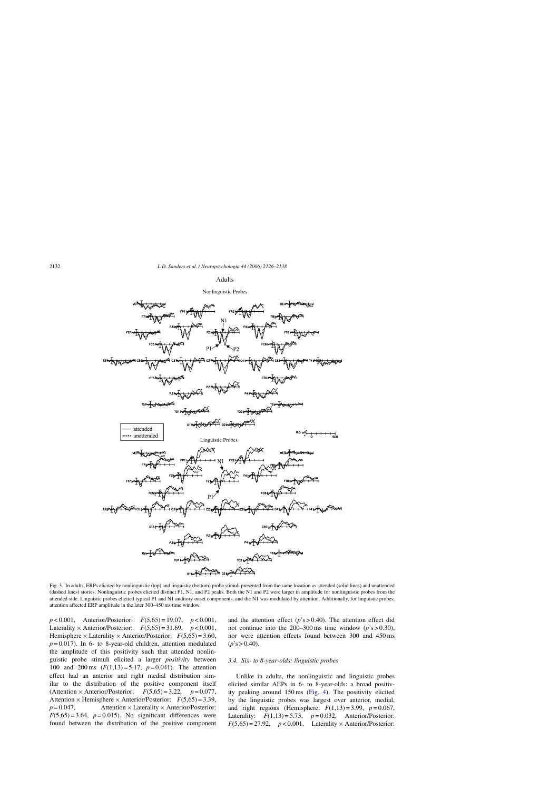#### **Adults**

## Nonlinguistic Probes

<span id="page-6-0"></span>

Fig. 3. In adults, ERPs elicited by nonlinguistic (top) and linguistic (bottom) probe stimuli presented from the same location as attended (solid lines) and unattended (dashed lines) stories. Nonlinguistic probes elicited distinct P1, N1, and P2 peaks. Both the N1 and P2 were larger in amplitude for nonlinguistic probes from the attended side. Linguistic probes elicited typical P1 and N1 auditory onset components, and the N1 was modulated by attention. Additionally, for linguistic probes, attention affected ERP amplitude in the later 300–450 ms time window.

*p* < 0.001, Anterior/Posterior: *F*(5,65) = 19.07, *p* < 0.001, Laterality × Anterior/Posterior:  $F(5,65) = 31.69$ ,  $p < 0.001$ , Hemisphere  $\times$  Laterality  $\times$  Anterior/Posterior:  $F(5,65) = 3.60$ ,  $p = 0.017$ ). In 6- to 8-year-old children, attention modulated the amplitude of this positivity such that attended nonlinguistic probe stimuli elicited a larger *positivity* between 100 and 200 ms (*F*(1,13) = 5.17, *p* = 0.041). The attention effect had an anterior and right medial distribution similar to the distribution of the positive component itself (Attention  $\times$  Anterior/Posterior:  $F(5.65) = 3.22$ ,  $p = 0.077$ , Attention × Hemisphere × Anterior/Posterior:  $F(5,65) = 3.39$ ,<br>*p* = 0.047, Attention × Laterality × Anterior/Posterior: Attention × Laterality × Anterior/Posterior:  $F(5,65) = 3.64$ ,  $p = 0.015$ ). No significant differences were found between the distribution of the positive component

and the attention effect  $(p's > 0.40)$ . The attention effect did not continue into the  $200-300$  ms time window ( $p$ 's > 0.30), nor were attention effects found between 300 and 450 ms  $(p's > 0.40)$ .

# *3.4. Six- to 8-year-olds: linguistic probes*

Unlike in adults, the nonlinguistic and linguistic probes elicited similar AEPs in 6- to 8-year-olds: a broad positivity peaking around 150 ms ([Fig. 4\)](#page-7-0). The positivity elicited by the linguistic probes was largest over anterior, medial, and right regions (Hemisphere:  $F(1,13) = 3.99$ ,  $p = 0.067$ , Laterality:  $F(1,13) = 5.73$ ,  $p = 0.032$ , Anterior/Posterior:  $F(5,65) = 27.92$ ,  $p < 0.001$ , Laterality × Anterior/Posterior: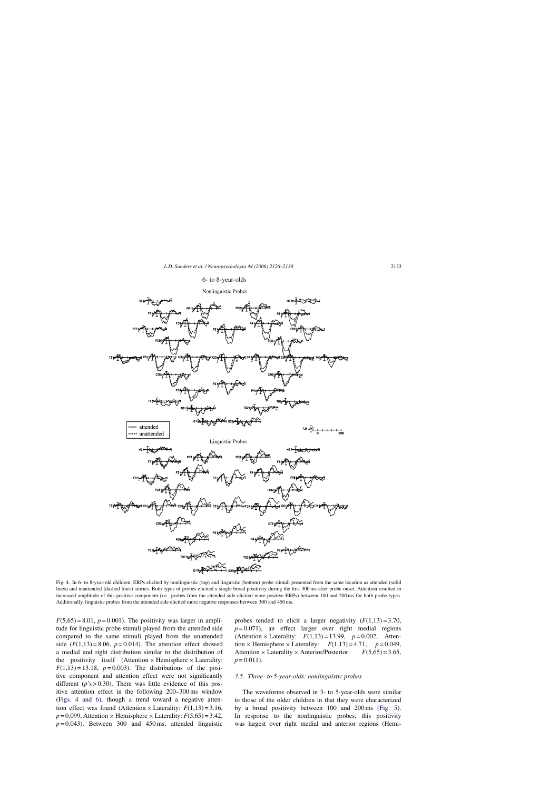## 6- to 8-year-olds



<span id="page-7-0"></span>

Fig. 4. In 6- to 8-year-old children, ERPs elicited by nonlinguistic (top) and linguistic (bottom) probe stimuli presented from the same location as attended (solid lines) and unattended (dashed lines) stories. Both types of probes elicited a single broad positivity during the first 300 ms after probe onset. Attention resulted in increased amplitude of this positive component (i.e., probes from the attended side elicited more positive ERPs) between 100 and 200 ms for both probe types. Additionally, linguistic probes from the attended side elicited more negative responses between 300 and 450 ms.

 $F(5,65) = 8.01$ ,  $p = 0.001$ ). The positivity was larger in amplitude for linguistic probe stimuli played from the attended side compared to the same stimuli played from the unattended side  $(F(1,13) = 8.06, p = 0.014)$ . The attention effect showed a medial and right distribution similar to the distribution of the positivity itself (Attention  $\times$  Hemisphere  $\times$  Laterality:  $F(1,13) = 13.18$ ,  $p = 0.003$ ). The distributions of the positive component and attention effect were not significantly different  $(p's > 0.30)$ . There was little evidence of this positive attention effect in the following 200–300 ms window (Figs. 4 and 6), though a trend toward a negative attention effect was found (Attention  $\times$  Laterality:  $F(1,13) = 3.16$ ,  $p = 0.099$ , Attention × Hemisphere × Laterality:  $F(5,65) = 3.42$ ,  $p = 0.043$ . Between 300 and 450 ms, attended linguistic

probes tended to elicit a larger negativity  $(F(1,13) = 3.70)$ ,  $p = 0.071$ ), an effect larger over right medial regions (Attention  $\times$  Laterality:  $F(1,13) = 13.99$ ,  $p = 0.002$ , Attention × Hemisphere × Laterality:  $F(1,13) = 4.71$ ,  $p = 0.049$ ,<br>Attention × Laterality × Anterior/Posterior:  $F(5,65) = 3.65$ , Attention × Laterality × Anterior/Posterior:  $p = 0.011$ .

# *3.5. Three- to 5-year-olds: nonlinguistic probes*

The waveforms observed in 3- to 5-year-olds were similar to those of the older children in that they were characterized by a broad positivity between 100 and 200 ms ([Fig. 5\)](#page-8-0). In response to the nonlinguistic probes, this positivity was largest over right medial and anterior regions (Hemi-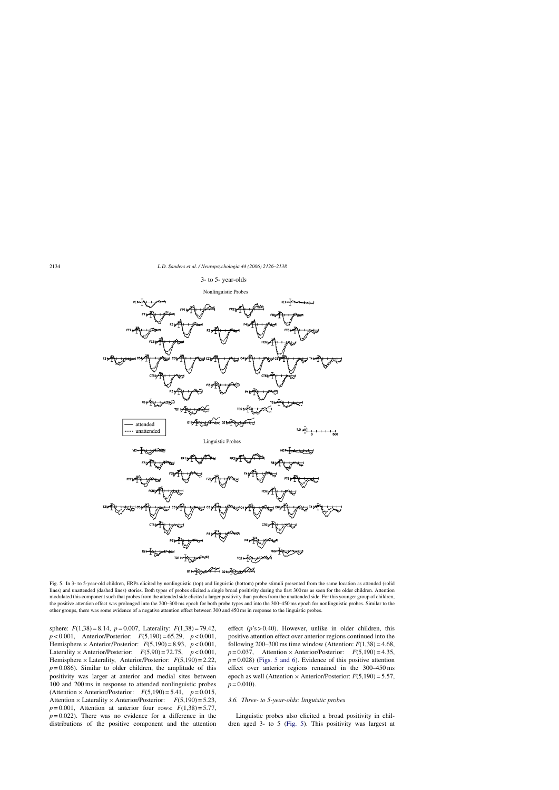#### 3- to 5- year-olds

#### Nonlinguistic Probes

<span id="page-8-0"></span>

Fig. 5. In 3- to 5-year-old children, ERPs elicited by nonlinguistic (top) and linguistic (bottom) probe stimuli presented from the same location as attended (solid lines) and unattended (dashed lines) stories. Both types of probes elicited a single broad positivity during the first 300 ms as seen for the older children. Attention modulated this component such that probes from the attended side elicited a larger positivity than probes from the unattended side. For this younger group of children, the positive attention effect was prolonged into the 200–300 ms epoch for both probe types and into the 300–450 ms epoch for nonlinguistic probes. Similar to the other groups, there was some evidence of a negative attention effect between 300 and 450 ms in response to the linguistic probes.

sphere: *F*(1,38) = 8.14, *p* = 0.007, Laterality: *F*(1,38) = 79.42, *p* < 0.001, Anterior/Posterior: *F*(5,190) = 65.29, *p* < 0.001, Hemisphere  $\times$  Anterior/Posterior:  $F(5,190) = 8.93$ ,  $p < 0.001$ , Laterality  $\times$  Anterior/Posterior:  $F(5,90) = 72.75$ ,  $p < 0.001$ , Hemisphere  $\times$  Laterality, Anterior/Posterior:  $F(5,190) = 2.22$ ,  $p = 0.086$ ). Similar to older children, the amplitude of this positivity was larger at anterior and medial sites between 100 and 200 ms in response to attended nonlinguistic probes (Attention  $\times$  Anterior/Posterior:  $F(5,190) = 5.41$ ,  $p = 0.015$ , Attention  $\times$  Laterality  $\times$  Anterior/Posterior:  $F(5,190) = 5.23$ ,  $p=0.001$ , Attention at anterior four rows:  $F(1,38) = 5.77$ ,  $p = 0.022$ ). There was no evidence for a difference in the distributions of the positive component and the attention

effect (*p*'s > 0.40). However, unlike in older children, this positive attention effect over anterior regions continued into the following 200–300 ms time window (Attention:  $F(1,38) = 4.68$ ,  $p = 0.037$ , Attention × Anterior/Posterior:  $F(5,190) = 4.35$ ,  $p = 0.028$ ) (Figs. 5 and 6). Evidence of this positive attention effect over anterior regions remained in the 300–450 ms epoch as well (Attention  $\times$  Anterior/Posterior:  $F(5,190) = 5.57$ ,  $p = 0.010$ .

# *3.6. Three- to 5-year-olds: linguistic probes*

Linguistic probes also elicited a broad positivity in children aged 3- to 5 (Fig. 5). This positivity was largest at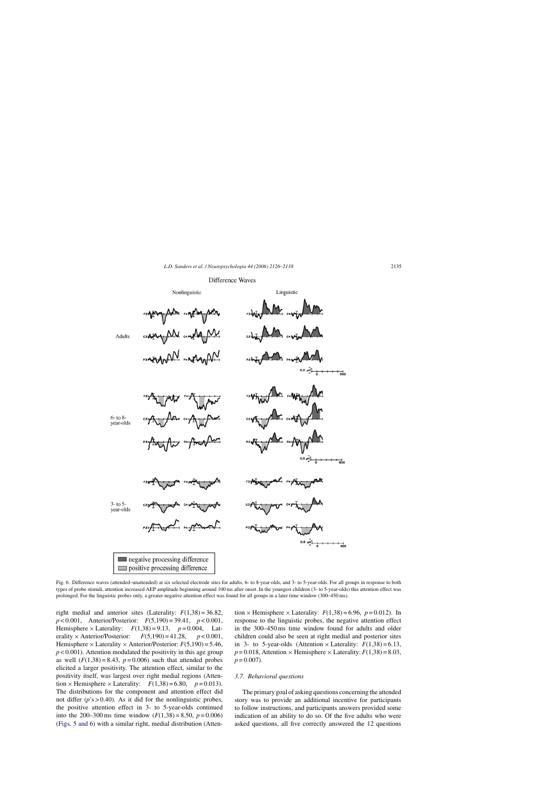## Difference Waves



Fig. 6. Difference waves (attended–unattended) at six selected electrode sites for adults, 6- to 8-year-olds, and 3- to 5-year-olds. For all groups in response to both types of probe stimuli, attention increased AEP amplitude beginning around 100 ms after onset. In the youngest children (3- to 5-year-olds) this attention effect was prolonged. For the linguistic probes only, a greater negative attention effect was found for all groups in a later time window (300–450 ms).

right medial and anterior sites (Laterality:  $F(1,38) = 36.82$ , *p* < 0.001, Anterior/Posterior: *F*(5,190) = 39.41, *p* < 0.001, Hemisphere × Laterality:  $F(1,38) = 9.13$ ,  $p = 0.004$ , Laterality × Anterior/Posterior:  $F(5,190) = 41.28$ ,  $p < 0.001$ , erality × Anterior/Posterior: Hemisphere  $\times$  Laterality  $\times$  Anterior/Posterior:  $F(5,190) = 5.46$ ,  $p < 0.001$ ). Attention modulated the positivity in this age group as well  $(F(1,38) = 8.43, p = 0.006)$  such that attended probes elicited a larger positivity. The attention effect, similar to the positivity itself, was largest over right medial regions (Attention  $\times$  Hemisphere  $\times$  Laterality:  $F(1,38) = 6.80$ ,  $p = 0.013$ ). The distributions for the component and attention effect did not differ  $(p's > 0.40)$ . As it did for the nonlinguistic probes, the positive attention effect in 3- to 5-year-olds continued into the 200–300 ms time window  $(F(1,38) = 8.50, p = 0.006)$ ([Figs. 5 and 6\)](#page-8-0) with a similar right, medial distribution (Atten-

tion  $\times$  Hemisphere  $\times$  Laterality:  $F(1,38) = 6.96$ ,  $p = 0.012$ ). In response to the linguistic probes, the negative attention effect in the 300–450 ms time window found for adults and older children could also be seen at right medial and posterior sites in 3- to 5-year-olds (Attention  $\times$  Laterality:  $F(1,38) = 6.13$ ,  $p = 0.018$ , Attention  $\times$  Hemisphere  $\times$  Laterality:  $F(1,38) = 8.03$ ,  $p = 0.007$ .

#### *3.7. Behavioral questions*

The primary goal of asking questions concerning the attended story was to provide an additional incentive for participants to follow instructions, and participants answers provided some indication of an ability to do so. Of the five adults who were asked questions, all five correctly answered the 12 questions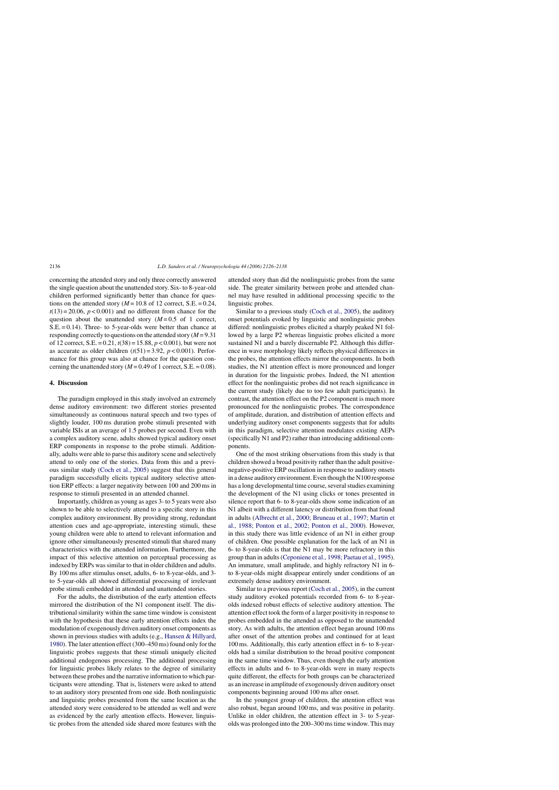concerning the attended story and only three correctly answered the single question about the unattended story. Six- to 8-year-old children performed significantly better than chance for questions on the attended story  $(M = 10.8$  of 12 correct, S.E. = 0.24,  $t(13) = 20.06$ ,  $p < 0.001$ ) and no different from chance for the question about the unattended story  $(M=0.5 \text{ of } 1 \text{ correct},$ S.E. = 0.14). Three- to 5-year-olds were better than chance at responding correctly to questions on the attended story (*M* = 9.31 of 12 correct, S.E. = 0.21, *t*(38) = 15.88, *p* < 0.001), but were not as accurate as older children  $(t(51) = 3.92, p < 0.001)$ . Performance for this group was also at chance for the question concerning the unattended story  $(M = 0.49$  of 1 correct, S.E. = 0.08).

# **4. Discussion**

The paradigm employed in this study involved an extremely dense auditory environment: two different stories presented simultaneously as continuous natural speech and two types of slightly louder, 100 ms duration probe stimuli presented with variable ISIs at an average of 1.5 probes per second. Even with a complex auditory scene, adults showed typical auditory onset ERP components in response to the probe stimuli. Additionally, adults were able to parse this auditory scene and selectively attend to only one of the stories. Data from this and a previous similar study ([Coch et al., 2005\)](#page-12-0) suggest that this general paradigm successfully elicits typical auditory selective attention ERP effects: a larger negativity between 100 and 200 ms in response to stimuli presented in an attended channel.

Importantly, children as young as ages 3- to 5 years were also shown to be able to selectively attend to a specific story in this complex auditory environment. By providing strong, redundant attention cues and age-appropriate, interesting stimuli, these young children were able to attend to relevant information and ignore other simultaneously presented stimuli that shared many characteristics with the attended information. Furthermore, the impact of this selective attention on perceptual processing as indexed by ERPs was similar to that in older children and adults. By 100 ms after stimulus onset, adults, 6- to 8-year-olds, and 3 to 5-year-olds all showed differential processing of irrelevant probe stimuli embedded in attended and unattended stories.

For the adults, the distribution of the early attention effects mirrored the distribution of the N1 component itself. The distributional similarity within the same time window is consistent with the hypothesis that these early attention effects index the modulation of exogenously driven auditory onset components as shown in previous studies with adults (e.g., [Hansen & Hillyard,](#page-12-0) [1980\).](#page-12-0) The later attention effect (300–450 ms) found only for the linguistic probes suggests that these stimuli uniquely elicited additional endogenous processing. The additional processing for linguistic probes likely relates to the degree of similarity between these probes and the narrative information to which participants were attending. That is, listeners were asked to attend to an auditory story presented from one side. Both nonlinguistic and linguistic probes presented from the same location as the attended story were considered to be attended as well and were as evidenced by the early attention effects. However, linguistic probes from the attended side shared more features with the

attended story than did the nonlinguistic probes from the same side. The greater similarity between probe and attended channel may have resulted in additional processing specific to the linguistic probes.

Similar to a previous study ([Coch et al., 2005\),](#page-12-0) the auditory onset potentials evoked by linguistic and nonlinguistic probes differed: nonlinguistic probes elicited a sharply peaked N1 followed by a large P2 whereas linguistic probes elicited a more sustained N1 and a barely discernable P2. Although this difference in wave morphology likely reflects physical differences in the probes, the attention effects mirror the components. In both studies, the N1 attention effect is more pronounced and longer in duration for the linguistic probes. Indeed, the N1 attention effect for the nonlinguistic probes did not reach significance in the current study (likely due to too few adult participants). In contrast, the attention effect on the P2 component is much more pronounced for the nonlinguistic probes. The correspondence of amplitude, duration, and distribution of attention effects and underlying auditory onset components suggests that for adults in this paradigm, selective attention modulates existing AEPs (specifically N1 and P2) rather than introducing additional components.

One of the most striking observations from this study is that children showed a broad positivity rather than the adult positivenegative-positive ERP oscillation in response to auditory onsets in a dense auditory environment. Even though the N100 response has a long developmental time course, several studies examining the development of the N1 using clicks or tones presented in silence report that 6- to 8-year-olds show some indication of an N1 albeit with a different latency or distribution from that found in adults ([Albrecht et al., 2000; Bruneau et al., 1997; Martin et](#page-11-0) [al., 1988; Ponton et al., 2002; Ponton et al., 2000\).](#page-11-0) However, in this study there was little evidence of an N1 in either group of children. One possible explanation for the lack of an N1 in 6- to 8-year-olds is that the N1 may be more refractory in this group than in adults [\(Ceponiene et al., 1998; Paetau et al., 1995\).](#page-12-0) An immature, small amplitude, and highly refractory N1 in 6 to 8-year-olds might disappear entirely under conditions of an extremely dense auditory environment.

Similar to a previous report ([Coch et al., 2005\),](#page-12-0) in the current study auditory evoked potentials recorded from 6- to 8-yearolds indexed robust effects of selective auditory attention. The attention effect took the form of a larger positivity in response to probes embedded in the attended as opposed to the unattended story. As with adults, the attention effect began around 100 ms after onset of the attention probes and continued for at least 100 ms. Additionally, this early attention effect in 6- to 8-yearolds had a similar distribution to the broad positive component in the same time window. Thus, even though the early attention effects in adults and 6- to 8-year-olds were in many respects quite different, the effects for both groups can be characterized as an increase in amplitude of exogenously driven auditory onset components beginning around 100 ms after onset.

In the youngest group of children, the attention effect was also robust, began around 100 ms, and was positive in polarity. Unlike in older children, the attention effect in 3- to 5-yearolds was prolonged into the 200–300 ms time window. This may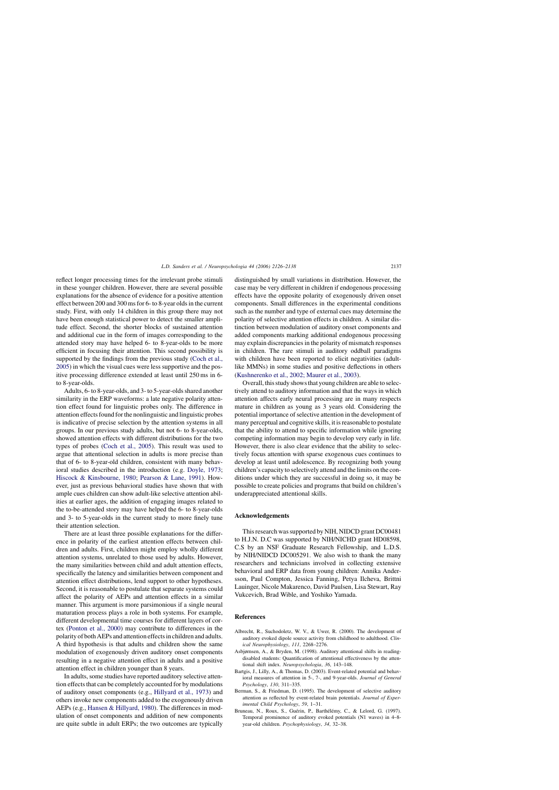<span id="page-11-0"></span>reflect longer processing times for the irrelevant probe stimuli in these younger children. However, there are several possible explanations for the absence of evidence for a positive attention effect between 200 and 300 ms for 6- to 8-year olds in the current study. First, with only 14 children in this group there may not have been enough statistical power to detect the smaller amplitude effect. Second, the shorter blocks of sustained attention and additional cue in the form of images corresponding to the attended story may have helped 6- to 8-year-olds to be more efficient in focusing their attention. This second possibility is supported by the findings from the previous study ([Coch et al.,](#page-12-0) [2005\) i](#page-12-0)n which the visual cues were less supportive and the positive processing difference extended at least until 250 ms in 6 to 8-year-olds.

Adults, 6- to 8-year-olds, and 3- to 5-year-olds shared another similarity in the ERP waveforms: a late negative polarity attention effect found for linguistic probes only. The difference in attention effects found for the nonlinguistic and linguistic probes is indicative of precise selection by the attention systems in all groups. In our previous study adults, but not 6- to 8-year-olds, showed attention effects with different distributions for the two types of probes ([Coch et al., 2005\).](#page-12-0) This result was used to argue that attentional selection in adults is more precise than that of 6- to 8-year-old children, consistent with many behavioral studies described in the introduction (e.g. [Doyle, 1973;](#page-12-0) [Hiscock & Kinsbourne, 1980;](#page-12-0) [Pearson & Lane, 1991\).](#page-12-0) However, just as previous behavioral studies have shown that with ample cues children can show adult-like selective attention abilities at earlier ages, the addition of engaging images related to the to-be-attended story may have helped the 6- to 8-year-olds and 3- to 5-year-olds in the current study to more finely tune their attention selection.

There are at least three possible explanations for the difference in polarity of the earliest attention effects between children and adults. First, children might employ wholly different attention systems, unrelated to those used by adults. However, the many similarities between child and adult attention effects, specifically the latency and similarities between component and attention effect distributions, lend support to other hypotheses. Second, it is reasonable to postulate that separate systems could affect the polarity of AEPs and attention effects in a similar manner. This argument is more parsimonious if a single neural maturation process plays a role in both systems. For example, different developmental time courses for different layers of cortex ([Ponton et al., 2000\)](#page-12-0) may contribute to differences in the polarity of both AEPs and attention effects in children and adults. A third hypothesis is that adults and children show the same modulation of exogenously driven auditory onset components resulting in a negative attention effect in adults and a positive attention effect in children younger than 8 years.

In adults, some studies have reported auditory selective attention effects that can be completely accounted for by modulations of auditory onset components (e.g., [Hillyard et al., 1973\)](#page-12-0) and others invoke new components added to the exogenously driven AEPs (e.g., [Hansen & Hillyard, 1980\).](#page-12-0) The differences in modulation of onset components and addition of new components are quite subtle in adult ERPs; the two outcomes are typically distinguished by small variations in distribution. However, the case may be very different in children if endogenous processing effects have the opposite polarity of exogenously driven onset components. Small differences in the experimental conditions such as the number and type of external cues may determine the polarity of selective attention effects in children. A similar distinction between modulation of auditory onset components and added components marking additional endogenous processing may explain discrepancies in the polarity of mismatch responses in children. The rare stimuli in auditory oddball paradigms with children have been reported to elicit negativities (adultlike MMNs) in some studies and positive deflections in others ([Kushnerenko et al., 2002; Maurer et al., 2003\).](#page-12-0)

Overall, this study shows that young children are able to selectively attend to auditory information and that the ways in which attention affects early neural processing are in many respects mature in children as young as 3 years old. Considering the potential importance of selective attention in the development of many perceptual and cognitive skills, it is reasonable to postulate that the ability to attend to specific information while ignoring competing information may begin to develop very early in life. However, there is also clear evidence that the ability to selectively focus attention with sparse exogenous cues continues to develop at least until adolescence. By recognizing both young children's capacity to selectively attend and the limits on the conditions under which they are successful in doing so, it may be possible to create policies and programs that build on children's underappreciated attentional skills.

## **Acknowledgements**

This research was supported by NIH, NIDCD grant DC00481 to H.J.N. D.C was supported by NIH/NICHD grant HD08598, C.S by an NSF Graduate Research Fellowship, and L.D.S. by NIH/NIDCD DC005291. We also wish to thank the many researchers and technicians involved in collecting extensive behavioral and ERP data from young children: Annika Andersson, Paul Compton, Jessica Fanning, Petya Ilcheva, Brittni Lauinger, Nicole Makarenco, David Paulsen, Lisa Stewart, Ray Vukcevich, Brad Wible, and Yoshiko Yamada.

## **References**

- Albrecht, R., Suchodoletz, W. V., & Uwer, R. (2000). The development of auditory evoked dipole source activity from childhood to adulthood. *Clinical Neurophysiology*, *111*, 2268–2276.
- Asbjørnsen, A., & Bryden, M. (1998). Auditory attentional shifts in readingdisabled students: Quantification of attentional effectiveness by the attentional shift index. *Neuropsychologia*, *36*, 143–148.
- Bartgis, J., Lilly, A., & Thomas, D. (2003). Event-related potential and behavioral measures of attention in 5-, 7-, and 9-year-olds. *Journal of General Psychology*, *130*, 311–335.
- Berman, S., & Friedman, D. (1995). The development of selective auditory attention as reflected by event-related brain potentials. *Journal of Experimental Child Psychology*, *59*, 1–31.
- Bruneau, N., Roux, S., Guérin, P., Barthélémy, C., & Lelord, G. (1997). Temporal prominence of auditory evoked potentials (N1 waves) in 4–8 year-old children. *Psychophysiology*, *34*, 32–38.